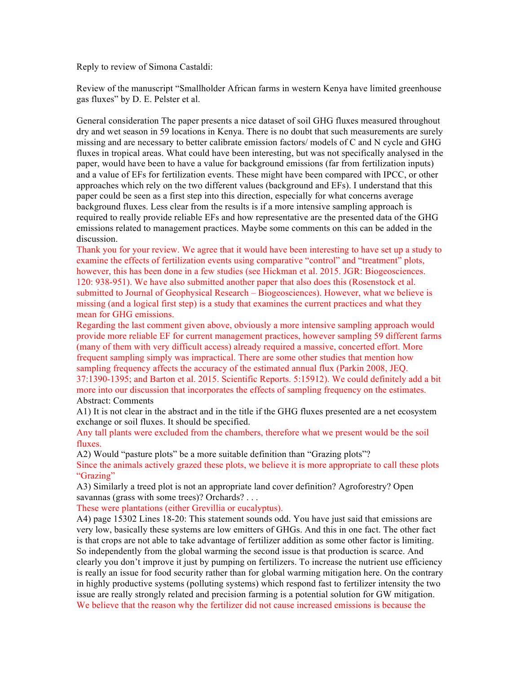Reply to review of Simona Castaldi:

Review of the manuscript "Smallholder African farms in western Kenya have limited greenhouse gas fluxes" by D. E. Pelster et al.

General consideration The paper presents a nice dataset of soil GHG fluxes measured throughout dry and wet season in 59 locations in Kenya. There is no doubt that such measurements are surely missing and are necessary to better calibrate emission factors/ models of C and N cycle and GHG fluxes in tropical areas. What could have been interesting, but was not specifically analysed in the paper, would have been to have a value for background emissions (far from fertilization inputs) and a value of EFs for fertilization events. These might have been compared with IPCC, or other approaches which rely on the two different values (background and EFs). I understand that this paper could be seen as a first step into this direction, especially for what concerns average background fluxes. Less clear from the results is if a more intensive sampling approach is required to really provide reliable EFs and how representative are the presented data of the GHG emissions related to management practices. Maybe some comments on this can be added in the discussion.

Thank you for your review. We agree that it would have been interesting to have set up a study to examine the effects of fertilization events using comparative "control" and "treatment" plots, however, this has been done in a few studies (see Hickman et al. 2015. JGR: Biogeosciences. 120: 938-951). We have also submitted another paper that also does this (Rosenstock et al. submitted to Journal of Geophysical Research – Biogeosciences). However, what we believe is missing (and a logical first step) is a study that examines the current practices and what they mean for GHG emissions.

Regarding the last comment given above, obviously a more intensive sampling approach would provide more reliable EF for current management practices, however sampling 59 different farms (many of them with very difficult access) already required a massive, concerted effort. More frequent sampling simply was impractical. There are some other studies that mention how sampling frequency affects the accuracy of the estimated annual flux (Parkin 2008, JEQ. 37:1390-1395; and Barton et al. 2015. Scientific Reports. 5:15912). We could definitely add a bit more into our discussion that incorporates the effects of sampling frequency on the estimates. Abstract: Comments

A1) It is not clear in the abstract and in the title if the GHG fluxes presented are a net ecosystem exchange or soil fluxes. It should be specified.

Any tall plants were excluded from the chambers, therefore what we present would be the soil fluxes.

A2) Would "pasture plots" be a more suitable definition than "Grazing plots"? Since the animals actively grazed these plots, we believe it is more appropriate to call these plots "Grazing"

A3) Similarly a treed plot is not an appropriate land cover definition? Agroforestry? Open savannas (grass with some trees)? Orchards? . . .

These were plantations (either Grevillia or eucalyptus).

A4) page 15302 Lines 18-20: This statement sounds odd. You have just said that emissions are very low, basically these systems are low emitters of GHGs. And this in one fact. The other fact is that crops are not able to take advantage of fertilizer addition as some other factor is limiting. So independently from the global warming the second issue is that production is scarce. And clearly you don't improve it just by pumping on fertilizers. To increase the nutrient use efficiency is really an issue for food security rather than for global warming mitigation here. On the contrary in highly productive systems (polluting systems) which respond fast to fertilizer intensity the two issue are really strongly related and precision farming is a potential solution for GW mitigation. We believe that the reason why the fertilizer did not cause increased emissions is because the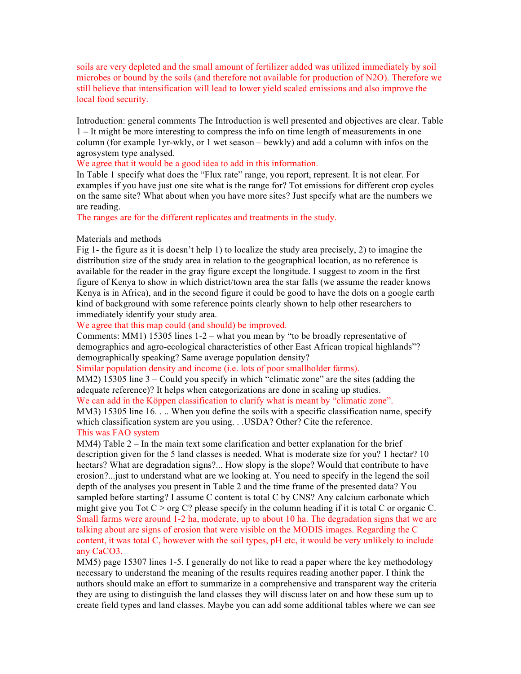soils are very depleted and the small amount of fertilizer added was utilized immediately by soil microbes or bound by the soils (and therefore not available for production of N2O). Therefore we still believe that intensification will lead to lower yield scaled emissions and also improve the local food security.

Introduction: general comments The Introduction is well presented and objectives are clear. Table 1 – It might be more interesting to compress the info on time length of measurements in one column (for example 1yr-wkly, or 1 wet season – bewkly) and add a column with infos on the agrosystem type analysed.

## We agree that it would be a good idea to add in this information.

In Table 1 specify what does the "Flux rate" range, you report, represent. It is not clear. For examples if you have just one site what is the range for? Tot emissions for different crop cycles on the same site? What about when you have more sites? Just specify what are the numbers we are reading.

The ranges are for the different replicates and treatments in the study.

## Materials and methods

Fig 1- the figure as it is doesn't help 1) to localize the study area precisely, 2) to imagine the distribution size of the study area in relation to the geographical location, as no reference is available for the reader in the gray figure except the longitude. I suggest to zoom in the first figure of Kenya to show in which district/town area the star falls (we assume the reader knows Kenya is in Africa), and in the second figure it could be good to have the dots on a google earth kind of background with some reference points clearly shown to help other researchers to immediately identify your study area.

We agree that this map could (and should) be improved.

Comments: MM1) 15305 lines 1-2 – what you mean by "to be broadly representative of demographics and agro-ecological characteristics of other East African tropical highlands"? demographically speaking? Same average population density?

Similar population density and income (i.e. lots of poor smallholder farms).

MM2) 15305 line 3 – Could you specify in which "climatic zone" are the sites (adding the adequate reference)? It helps when categorizations are done in scaling up studies.

We can add in the Köppen classification to clarify what is meant by "climatic zone".

MM3) 15305 line 16. . .. When you define the soils with a specific classification name, specify which classification system are you using. . .USDA? Other? Cite the reference.

## This was FAO system

MM4) Table  $2 - \text{In the main text some clarification and better explanation for the brief}$ description given for the 5 land classes is needed. What is moderate size for you? 1 hectar? 10 hectars? What are degradation signs?... How slopy is the slope? Would that contribute to have erosion?...just to understand what are we looking at. You need to specify in the legend the soil depth of the analyses you present in Table 2 and the time frame of the presented data? You sampled before starting? I assume C content is total C by CNS? Any calcium carbonate which might give you Tot  $C >$  org C? please specify in the column heading if it is total C or organic C. Small farms were around 1-2 ha, moderate, up to about 10 ha. The degradation signs that we are talking about are signs of erosion that were visible on the MODIS images. Regarding the C content, it was total C, however with the soil types, pH etc, it would be very unlikely to include any CaCO3.

MM5) page 15307 lines 1-5. I generally do not like to read a paper where the key methodology necessary to understand the meaning of the results requires reading another paper. I think the authors should make an effort to summarize in a comprehensive and transparent way the criteria they are using to distinguish the land classes they will discuss later on and how these sum up to create field types and land classes. Maybe you can add some additional tables where we can see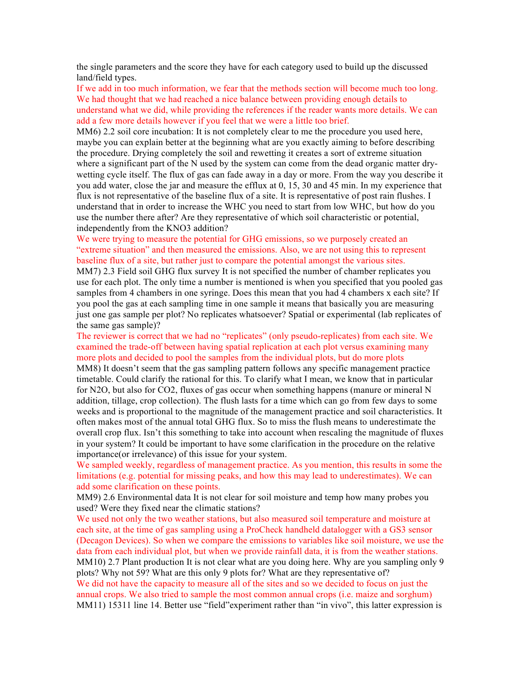the single parameters and the score they have for each category used to build up the discussed land/field types.

If we add in too much information, we fear that the methods section will become much too long. We had thought that we had reached a nice balance between providing enough details to understand what we did, while providing the references if the reader wants more details. We can add a few more details however if you feel that we were a little too brief.

MM6) 2.2 soil core incubation: It is not completely clear to me the procedure you used here, maybe you can explain better at the beginning what are you exactly aiming to before describing the procedure. Drying completely the soil and rewetting it creates a sort of extreme situation where a significant part of the N used by the system can come from the dead organic matter drywetting cycle itself. The flux of gas can fade away in a day or more. From the way you describe it you add water, close the jar and measure the efflux at 0, 15, 30 and 45 min. In my experience that flux is not representative of the baseline flux of a site. It is representative of post rain flushes. I understand that in order to increase the WHC you need to start from low WHC, but how do you use the number there after? Are they representative of which soil characteristic or potential, independently from the KNO3 addition?

We were trying to measure the potential for GHG emissions, so we purposely created an "extreme situation" and then measured the emissions. Also, we are not using this to represent baseline flux of a site, but rather just to compare the potential amongst the various sites.

MM7) 2.3 Field soil GHG flux survey It is not specified the number of chamber replicates you use for each plot. The only time a number is mentioned is when you specified that you pooled gas samples from 4 chambers in one syringe. Does this mean that you had 4 chambers x each site? If you pool the gas at each sampling time in one sample it means that basically you are measuring just one gas sample per plot? No replicates whatsoever? Spatial or experimental (lab replicates of the same gas sample)?

The reviewer is correct that we had no "replicates" (only pseudo-replicates) from each site. We examined the trade-off between having spatial replication at each plot versus examining many more plots and decided to pool the samples from the individual plots, but do more plots

MM8) It doesn't seem that the gas sampling pattern follows any specific management practice timetable. Could clarify the rational for this. To clarify what I mean, we know that in particular for N2O, but also for CO2, fluxes of gas occur when something happens (manure or mineral N addition, tillage, crop collection). The flush lasts for a time which can go from few days to some weeks and is proportional to the magnitude of the management practice and soil characteristics. It often makes most of the annual total GHG flux. So to miss the flush means to underestimate the overall crop flux. Isn't this something to take into account when rescaling the magnitude of fluxes in your system? It could be important to have some clarification in the procedure on the relative importance(or irrelevance) of this issue for your system.

We sampled weekly, regardless of management practice. As you mention, this results in some the limitations (e.g. potential for missing peaks, and how this may lead to underestimates). We can add some clarification on these points.

MM9) 2.6 Environmental data It is not clear for soil moisture and temp how many probes you used? Were they fixed near the climatic stations?

We used not only the two weather stations, but also measured soil temperature and moisture at each site, at the time of gas sampling using a ProCheck handheld datalogger with a GS3 sensor (Decagon Devices). So when we compare the emissions to variables like soil moisture, we use the data from each individual plot, but when we provide rainfall data, it is from the weather stations. MM10) 2.7 Plant production It is not clear what are you doing here. Why are you sampling only 9 plots? Why not 59? What are this only 9 plots for? What are they representative of?

We did not have the capacity to measure all of the sites and so we decided to focus on just the annual crops. We also tried to sample the most common annual crops (i.e. maize and sorghum) MM11) 15311 line 14. Better use "field" experiment rather than "in vivo", this latter expression is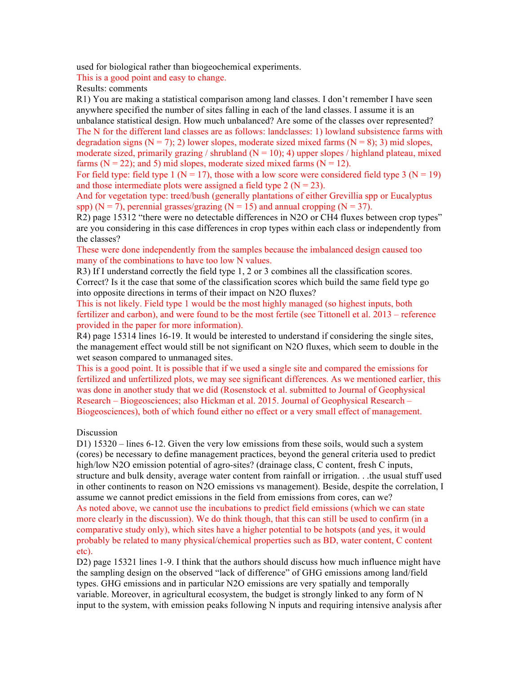used for biological rather than biogeochemical experiments.

This is a good point and easy to change.

Results: comments

R1) You are making a statistical comparison among land classes. I don't remember I have seen anywhere specified the number of sites falling in each of the land classes. I assume it is an unbalance statistical design. How much unbalanced? Are some of the classes over represented? The N for the different land classes are as follows: landclasses: 1) lowland subsistence farms with degradation signs ( $N = 7$ ); 2) lower slopes, moderate sized mixed farms ( $N = 8$ ); 3) mid slopes, moderate sized, primarily grazing / shrubland  $(N = 10)$ ; 4) upper slopes / highland plateau, mixed farms ( $N = 22$ ); and 5) mid slopes, moderate sized mixed farms ( $N = 12$ ).

For field type: field type 1 ( $N = 17$ ), those with a low score were considered field type 3 ( $N = 19$ ) and those intermediate plots were assigned a field type 2 ( $N = 23$ ).

And for vegetation type: treed/bush (generally plantations of either Grevillia spp or Eucalyptus spp) ( $N = 7$ ), perennial grasses/grazing ( $N = 15$ ) and annual cropping ( $N = 37$ ).

R2) page 15312 "there were no detectable differences in N2O or CH4 fluxes between crop types" are you considering in this case differences in crop types within each class or independently from the classes?

These were done independently from the samples because the imbalanced design caused too many of the combinations to have too low N values.

R3) If I understand correctly the field type 1, 2 or 3 combines all the classification scores. Correct? Is it the case that some of the classification scores which build the same field type go into opposite directions in terms of their impact on N2O fluxes?

This is not likely. Field type 1 would be the most highly managed (so highest inputs, both fertilizer and carbon), and were found to be the most fertile (see Tittonell et al. 2013 – reference provided in the paper for more information).

R4) page 15314 lines 16-19. It would be interested to understand if considering the single sites, the management effect would still be not significant on N2O fluxes, which seem to double in the wet season compared to unmanaged sites.

This is a good point. It is possible that if we used a single site and compared the emissions for fertilized and unfertilized plots, we may see significant differences. As we mentioned earlier, this was done in another study that we did (Rosenstock et al. submitted to Journal of Geophysical Research – Biogeosciences; also Hickman et al. 2015. Journal of Geophysical Research – Biogeosciences), both of which found either no effect or a very small effect of management.

## Discussion

D1) 15320 – lines 6-12. Given the very low emissions from these soils, would such a system (cores) be necessary to define management practices, beyond the general criteria used to predict high/low N2O emission potential of agro-sites? (drainage class, C content, fresh C inputs, structure and bulk density, average water content from rainfall or irrigation. . .the usual stuff used in other continents to reason on N2O emissions vs management). Beside, despite the correlation, I assume we cannot predict emissions in the field from emissions from cores, can we? As noted above, we cannot use the incubations to predict field emissions (which we can state more clearly in the discussion). We do think though, that this can still be used to confirm (in a comparative study only), which sites have a higher potential to be hotspots (and yes, it would probably be related to many physical/chemical properties such as BD, water content, C content etc).

D2) page 15321 lines 1-9. I think that the authors should discuss how much influence might have the sampling design on the observed "lack of difference" of GHG emissions among land/field types. GHG emissions and in particular N2O emissions are very spatially and temporally variable. Moreover, in agricultural ecosystem, the budget is strongly linked to any form of N input to the system, with emission peaks following N inputs and requiring intensive analysis after